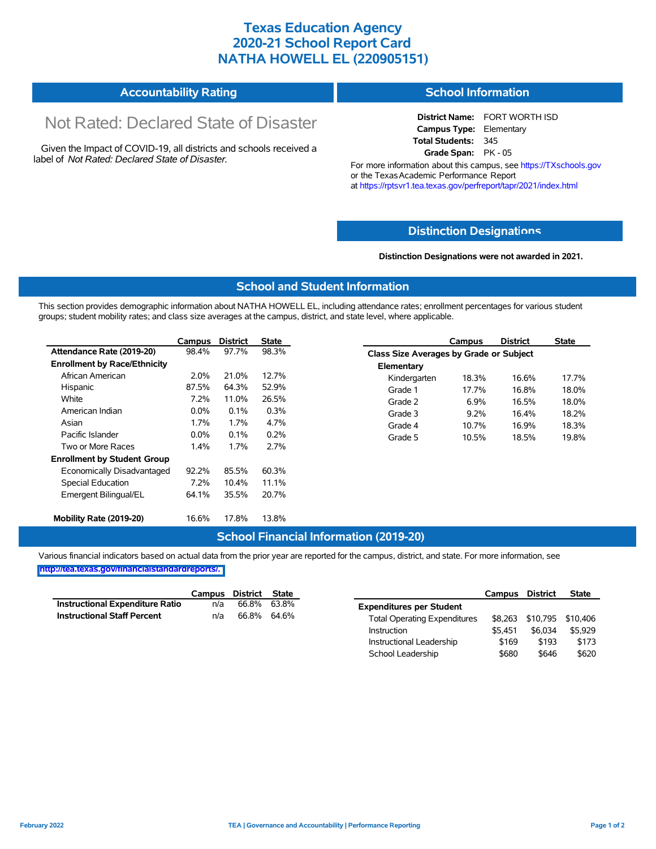## **Texas Education Agency 2020-21 School Report Card NATHA HOWELL EL (220905151)**

| <b>Accountability Rating</b> | <b>School Information</b> |
|------------------------------|---------------------------|
|------------------------------|---------------------------|

# Not Rated: Declared State of Disaster

Given the Impact of COVID-19, all districts and schools received a label of *Not Rated: Declared State of Disaster.*

**District Name:** FORT WORTH ISD **Campus Type:** Elementary **Total Students:** 345 **Grade Span:** PK - 05

For more information about this campus, see https://TXschools.gov or the Texas Academic Performance Report at https://rptsvr1.tea.texas.gov/perfreport/tapr/2021/index.html

#### **Distinction Designat[ions](https://TXschools.gov)**

**Distinction Designations were not awarded in 2021.**

School Leadership  $$680$  \$646 \$620

#### **School and Student Information**

This section provides demographic information about NATHA HOWELL EL, including attendance rates; enrollment percentages for various student groups; student mobility rates; and class size averages at the campus, district, and state level, where applicable.

|                                     | Campus  | <b>District</b> | <b>State</b> |              | Campus                                  | <b>District</b> | <b>State</b> |  |  |  |
|-------------------------------------|---------|-----------------|--------------|--------------|-----------------------------------------|-----------------|--------------|--|--|--|
| Attendance Rate (2019-20)           | 98.4%   | 97.7%           | 98.3%        |              | Class Size Averages by Grade or Subject |                 |              |  |  |  |
| <b>Enrollment by Race/Ethnicity</b> |         |                 |              | Elementary   |                                         |                 |              |  |  |  |
| African American                    | $2.0\%$ | 21.0%           | 12.7%        | Kindergarten | 18.3%                                   | 16.6%           | 17.7%        |  |  |  |
| Hispanic                            | 87.5%   | 64.3%           | 52.9%        | Grade 1      | 17.7%                                   | 16.8%           | 18.0%        |  |  |  |
| White                               | 7.2%    | 11.0%           | 26.5%        | Grade 2      | 6.9%                                    | 16.5%           | 18.0%        |  |  |  |
| American Indian                     | $0.0\%$ | 0.1%            | 0.3%         | Grade 3      | 9.2%                                    | 16.4%           | 18.2%        |  |  |  |
| Asian                               | 1.7%    | 1.7%            | 4.7%         | Grade 4      | 10.7%                                   | 16.9%           | 18.3%        |  |  |  |
| Pacific Islander                    | $0.0\%$ | 0.1%            | 0.2%         | Grade 5      | 10.5%                                   | 18.5%           | 19.8%        |  |  |  |
| Two or More Races                   | 1.4%    | 1.7%            | 2.7%         |              |                                         |                 |              |  |  |  |
| <b>Enrollment by Student Group</b>  |         |                 |              |              |                                         |                 |              |  |  |  |
| Economically Disadvantaged          | 92.2%   | 85.5%           | 60.3%        |              |                                         |                 |              |  |  |  |
| Special Education                   | 7.2%    | 10.4%           | 11.1%        |              |                                         |                 |              |  |  |  |
| Emergent Bilingual/EL               | 64.1%   | 35.5%           | 20.7%        |              |                                         |                 |              |  |  |  |
|                                     |         |                 |              |              |                                         |                 |              |  |  |  |
| Mobility Rate (2019-20)             | 16.6%   | 17.8%           | 13.8%        |              |                                         |                 |              |  |  |  |

#### **School Financial Information (2019-20)**

Various financial indicators based on actual data from the prior year are reported for the campus, district, and state. For more information, see

**[http://tea.texas.gov/financialstandardreports/.](http://tea.texas.gov/financialstandardreports/)**

|                                        | Campus | District | State       |                                     | Campus  | <b>District</b>           | <b>State</b> |
|----------------------------------------|--------|----------|-------------|-------------------------------------|---------|---------------------------|--------------|
| <b>Instructional Expenditure Ratio</b> | n/a    | 66.8%    | 63.8%       | <b>Expenditures per Student</b>     |         |                           |              |
| <b>Instructional Staff Percent</b>     | n/a    |          | 66.8% 64.6% | <b>Total Operating Expenditures</b> |         | \$8,263 \$10,795 \$10,406 |              |
|                                        |        |          |             | Instruction                         | \$5.451 | \$6.034                   | \$5,929      |
|                                        |        |          |             | Instructional Leadership            | \$169   | \$193                     | \$173        |